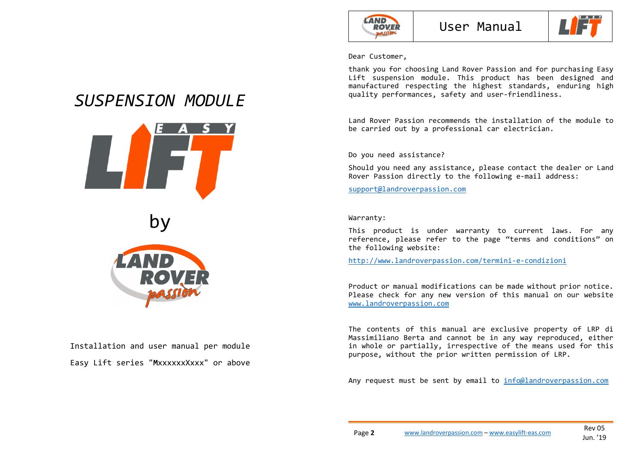



Dear Customer,

thank you for choosing Land Rover Passion and for purchasing Easy Lift suspension module. This product has been designed and manufactured respecting the highest standards, enduring high quality performances, safety and user-friendliness.

Land Rover Passion recommends the installation of the module to be carried out by a professional car electrician.

Do you need assistance?

Should you need any assistance, please contact the dealer or Land Rover Passion directly to the following e-mail address:

support@landroverpassion.com

Warranty:

This product is under warranty to current laws. For any reference, please refer to the page "terms and conditions" on the following website:

http://www.landroverpassion.com/termini-e-condizioni

Product or manual modifications can be made without prior notice. Please check for any new version of this manual on our website www.landroverpassion.com

The contents of this manual are exclusive property of LRP di Massimiliano Berta and cannot be in any way reproduced, either in whole or partially, irrespective of the means used for this purpose, without the prior written permission of LRP.

Any request must be sent by email to info@landroverpassion.com

# *SUSPENSION MODULE*





Installation and user manual per module Easy Lift series "**M**xxxxxxXxxx" or above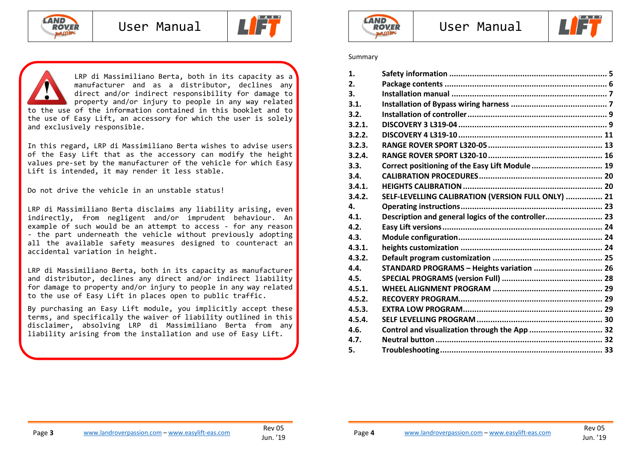





In this regard, LRP di Massimiliano Berta wishes to advise users of the Easy Lift that as the accessory can modify the height values pre-set by the manufacturer of the vehicle for which Easy Lift is intended, it may render it less stable.

Do not drive the vehicle in an unstable status!

LRP di Massimiliano Berta disclaims any liability arising, even indirectly, from negligent and/or imprudent behaviour. An example of such would be an attempt to access - for any reason - the part underneath the vehicle without previously adopting all the available safety measures designed to counteract an accidental variation in height.

LRP di Massimiliano Berta, both in its capacity as manufacturer and distributor, declines any direct and/or indirect liability for damage to property and/or injury to people in any way related to the use of Easy Lift in places open to public traffic.

By purchasing an Easy Lift module, you implicitly accept these terms, and specifically the waiver of liability outlined in this disclaimer, absolving LRP di Massimiliano Berta from any liability arising from the installation and use of Easy Lift.





#### Summary

| Correct positioning of the Easy Lift Module  19<br>SELF-LEVELLING CALIBRATION (VERSION FULL ONLY)  21<br>Description and general logics of the controller 23<br>STANDARD PROGRAMS - Heights variation  26<br>Control and visualization through the App  32 |
|------------------------------------------------------------------------------------------------------------------------------------------------------------------------------------------------------------------------------------------------------------|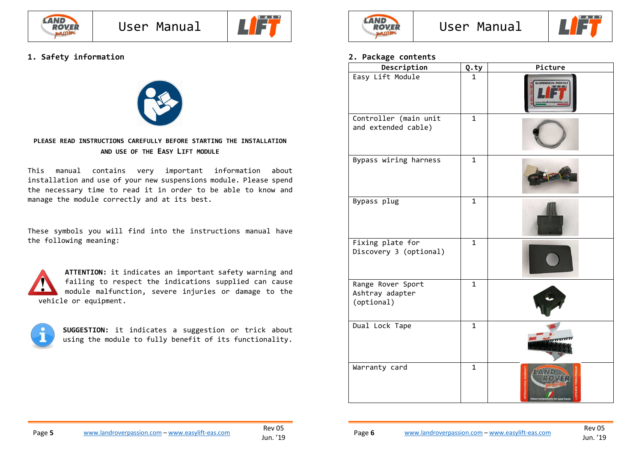



### **1. Safety information**



#### **PLEASE READ INSTRUCTIONS CAREFULLY BEFORE STARTING THE INSTALLATION AND USE OF THE EASY LIFT MODULE**

This manual contains very important information about installation and use of your new suspensions module. Please spend the necessary time to read it in order to be able to know and manage the module correctly and at its best.

These symbols you will find into the instructions manual have the following meaning:

**ATTENTION:** it indicates an important safety warning and failing to respect the indications supplied can cause module malfunction, severe injuries or damage to the vehicle or equipment.



**SUGGESTION:** it indicates a suggestion or trick about using the module to fully benefit of its functionality.





### **2. Package contents**

| Description                                        | Q.ty           | Picture                  |
|----------------------------------------------------|----------------|--------------------------|
| Easy Lift Module                                   | 1              | <b>SUSPENSION MODULE</b> |
| Controller (main unit<br>and extended cable)       | $\mathbf{1}$   |                          |
| Bypass wiring harness                              | $\mathbf{1}$   |                          |
| Bypass plug                                        | $\overline{1}$ |                          |
| Fixing plate for<br>Discovery 3 (optional)         | $\mathbf{1}$   |                          |
| Range Rover Sport<br>Ashtray adapter<br>(optional) | $\mathbf{1}$   |                          |
| Dual Lock Tape                                     | $\mathbf 1$    |                          |
| Warranty card                                      | $\mathbf{1}$   |                          |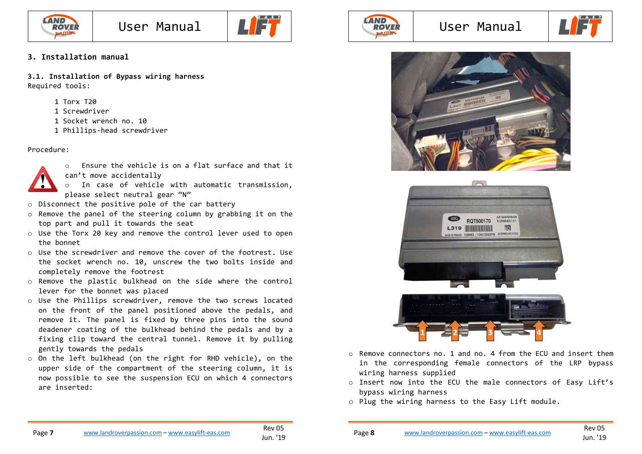



### **3. Installation manual**

**3.1. Installation of Bypass wiring harness**  Required tools:

- 1 Torx T20
- 1 Screwdriver
- 1 Socket wrench no. 10
- 1 Phillips-head screwdriver

#### Procedure:



- $\circ$  Ensure the vehicle is on a flat surface and that it can't move accidentally
	- o In case of vehicle with automatic transmission, please select neutral gear "N"
- o Disconnect the positive pole of the car battery
- o Remove the panel of the steering column by grabbing it on the top part and pull it towards the seat
- $\circ$  Use the Torx 20 key and remove the control lever used to open the bonnet
- $\circ$  Use the screwdriver and remove the cover of the footrest. Use the socket wrench no. 10, unscrew the two bolts inside and completely remove the footrest
- o Remove the plastic bulkhead on the side where the control lever for the bonnet was placed
- o Use the Phillips screwdriver, remove the two screws located on the front of the panel positioned above the pedals, and remove it. The panel is fixed by three pins into the sound deadener coating of the bulkhead behind the pedals and by a fixing clip toward the central tunnel. Remove it by pulling gently towards the pedals
- o On the left bulkhead (on the right for RHD vehicle), on the upper side of the compartment of the steering column, it is now possible to see the suspension ECU on which 4 connectors are inserted:



### User Manual







- o Remove connectors no. 1 and no. 4 from the ECU and insert them in the corresponding female connectors of the LRP bypass wiring harness supplied
- o Insert now into the ECU the male connectors of Easy Lift's bypass wiring harness
- o Plug the wiring harness to the Easy Lift module.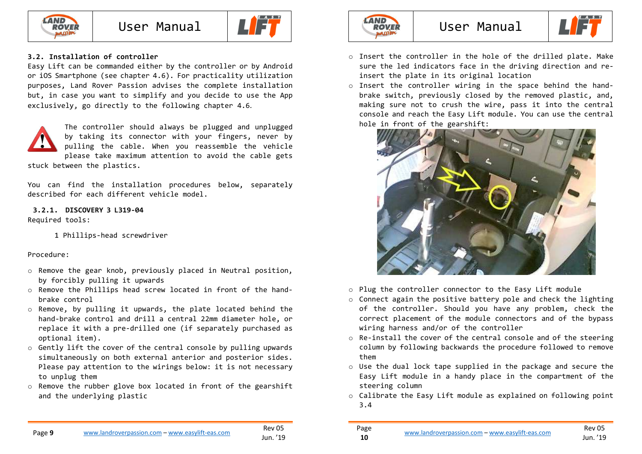



### **3.2. Installation of controller**

Easy Lift can be commanded either by the controller or by Android or iOS Smartphone (see chapter 4.6). For practicality utilization purposes, Land Rover Passion advises the complete installation but, in case you want to simplify and you decide to use the App exclusively, go directly to the following chapter 4.6.



The controller should always be plugged and unplugged by taking its connector with your fingers, never by pulling the cable. When you reassemble the vehicle please take maximum attention to avoid the cable gets stuck between the plastics.

You can find the installation procedures below, separately described for each different vehicle model.

**3.2.1. DISCOVERY <sup>3</sup> L319-04**  Required tools:

1 Phillips-head screwdriver

#### Procedure:

- o Remove the gear knob, previously placed in Neutral position, by forcibly pulling it upwards
- $\circ$  Remove the Phillips head screw located in front of the handbrake control
- o Remove, by pulling it upwards, the plate located behind the hand-brake control and drill a central 22mm diameter hole, or replace it with a pre-drilled one (if separately purchased as optional item).
- o Gently lift the cover of the central console by pulling upwards simultaneously on both external anterior and posterior sides. Please pay attention to the wirings below: it is not necessary to unplug them
- $\circ$  Remove the rubber glove box located in front of the gearshift and the underlying plastic



### User Manual



- o Insert the controller in the hole of the drilled plate. Make sure the led indicators face in the driving direction and reinsert the plate in its original location
- o Insert the controller wiring in the space behind the handbrake switch, previously closed by the removed plastic, and, making sure not to crush the wire, pass it into the central console and reach the Easy Lift module. You can use the central hole in front of the gearshift:



- o Plug the controller connector to the Easy Lift module
- o Connect again the positive battery pole and check the lighting of the controller. Should you have any problem, check the correct placement of the module connectors and of the bypass wiring harness and/or of the controller
- $\circ$  Re-install the cover of the central console and of the steering column by following backwards the procedure followed to remove them
- o Use the dual lock tape supplied in the package and secure the Easy Lift module in a handy place in the compartment of the steering column
- $\circ$  Calibrate the Easy Lift module as explained on following point 3.4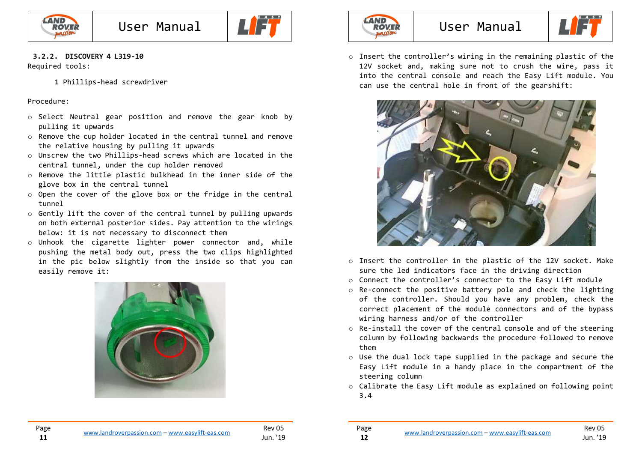



### **3.2.2. DISCOVERY <sup>4</sup> L319-10**

Required tools:

1 Phillips-head screwdriver

#### Procedure:

Page **11**

- o Select Neutral gear position and remove the gear knob by pulling it upwards
- o Remove the cup holder located in the central tunnel and remove the relative housing by pulling it upwards
- o Unscrew the two Phillips-head screws which are located in the central tunnel, under the cup holder removed
- o Remove the little plastic bulkhead in the inner side of the glove box in the central tunnel
- o Open the cover of the glove box or the fridge in the central tunnel
- $\circ$  Gently lift the cover of the central tunnel by pulling upwards on both external posterior sides. Pay attention to the wirings below: it is not necessary to disconnect them
- o Unhook the cigarette lighter power connector and, while pushing the metal body out, press the two clips highlighted in the pic below slightly from the inside so that you can easily remove it:





### User Manual



o Insert the controller's wiring in the remaining plastic of the 12V socket and, making sure not to crush the wire, pass it into the central console and reach the Easy Lift module. You can use the central hole in front of the gearshift:



- o Insert the controller in the plastic of the 12V socket. Make sure the led indicators face in the driving direction
- o Connect the controller's connector to the Easy Lift module
- o Re-connect the positive battery pole and check the lighting of the controller. Should you have any problem, check the correct placement of the module connectors and of the bypass wiring harness and/or of the controller
- o Re-install the cover of the central console and of the steering column by following backwards the procedure followed to remove them
- o Use the dual lock tape supplied in the package and secure the Easy Lift module in a handy place in the compartment of the steering column
- $\circ$  Calibrate the Easy Lift module as explained on following point 3.4

**12**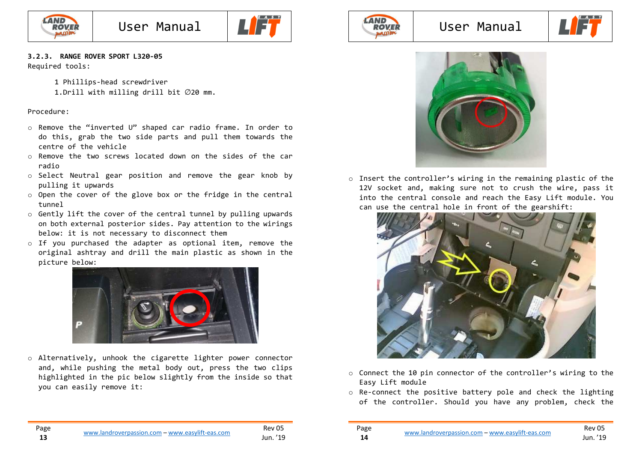



### **3.2.3. RANGE ROVER SPORT L320-05**

Required tools:

1 Phillips-head screwdriver 1.Drill with milling drill bit ∅20 mm.

#### Procedure:

- o Remove the "inverted U" shaped car radio frame. In order to do this, grab the two side parts and pull them towards the centre of the vehicle
- o Remove the two screws located down on the sides of the car radio
- o Select Neutral gear position and remove the gear knob by pulling it upwards
- o Open the cover of the glove box or the fridge in the central tunnel
- o Gently lift the cover of the central tunnel by pulling upwards on both external posterior sides. Pay attention to the wirings below: it is not necessary to disconnect them
- o If you purchased the adapter as optional item, remove the original ashtray and drill the main plastic as shown in the picture below:



o Alternatively, unhook the cigarette lighter power connector and, while pushing the metal body out, press the two clips highlighted in the pic below slightly from the inside so that you can easily remove it:



### User Manual





o Insert the controller's wiring in the remaining plastic of the 12V socket and, making sure not to crush the wire, pass it into the central console and reach the Easy Lift module. You can use the central hole in front of the gearshift:



- $\circ$  Connect the 10 pin connector of the controller's wiring to the Easy Lift module
- o Re-connect the positive battery pole and check the lighting of the controller. Should you have any problem, check the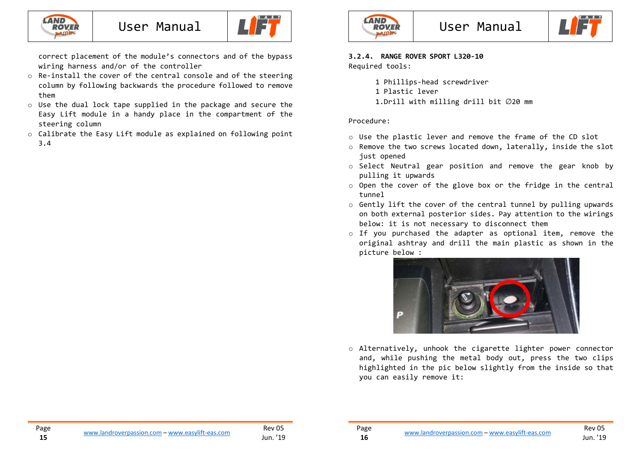



correct placement of the module's connectors and of the bypass wiring harness and/or of the controller

- $\circ$  Re-install the cover of the central console and of the steering column by following backwards the procedure followed to remove them
- o Use the dual lock tape supplied in the package and secure the Easy Lift module in a handy place in the compartment of the steering column
- $\circ$  Calibrate the Easy Lift module as explained on following point 3.4



### **3.2.4. RANGE ROVER SPORT L320-10**

Required tools:

- 1 Phillips-head screwdriver
- 1 Plastic lever
- 1.Drill with milling drill bit ∅20 mm

#### Procedure:

Page **16**

- o Use the plastic lever and remove the frame of the CD slot
- o Remove the two screws located down, laterally, inside the slot just opened
- o Select Neutral gear position and remove the gear knob by pulling it upwards
- $\circ$  Open the cover of the glove box or the fridge in the central tunnel
- o Gently lift the cover of the central tunnel by pulling upwards on both external posterior sides. Pay attention to the wirings below: it is not necessary to disconnect them
- o If you purchased the adapter as optional item, remove the original ashtray and drill the main plastic as shown in the picture below :



o Alternatively, unhook the cigarette lighter power connector and, while pushing the metal body out, press the two clips highlighted in the pic below slightly from the inside so that you can easily remove it: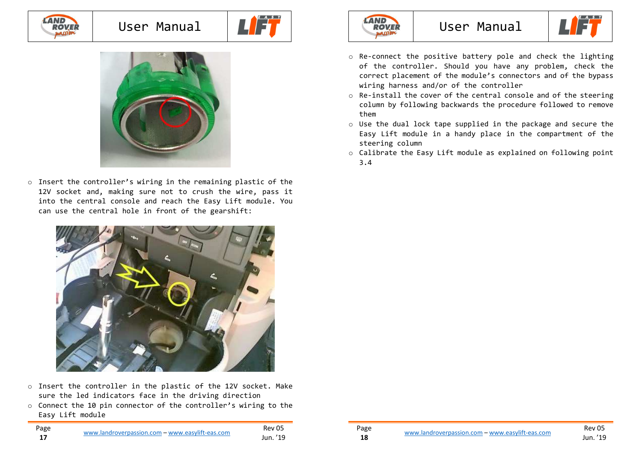### LAND<br>ROVEI **hasse**

### User Manual





 $\circ$  Insert the controller's wiring in the remaining plastic of the 12V socket and, making sure not to crush the wire, pass it into the central console and reach the Easy Lift module. You can use the central hole in front of the gearshift:



- o Insert the controller in the plastic of the 12V socket. Make sure the led indicators face in the driving direction
- $\circ$  Connect the 10 pin connector of the controller's wiring to the Easy Lift module



### User Manual



- o Re-connect the positive battery pole and check the lighting of the controller. Should you have any problem, check the correct placement of the module's connectors and of the bypass wiring harness and/or of the controller
- o Re-install the cover of the central console and of the steering column by following backwards the procedure followed to remove them
- o Use the dual lock tape supplied in the package and secure the Easy Lift module in a handy place in the compartment of the steering column
- $\circ$  Calibrate the Easy Lift module as explained on following point 3.4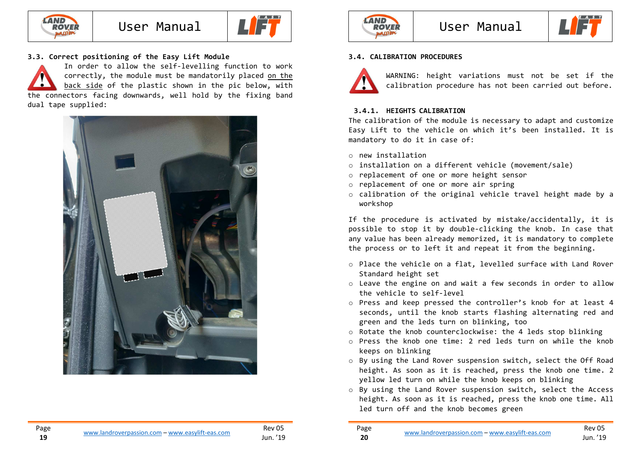

**19**



### **3.3. Correct positioning of the Easy Lift Module**

In order to allow the self-levelling function to work correctly, the module must be mandatorily placed <u>on the</u> back side of the plastic shown in the pic below, with the connectors facing downwards, well hold by the fixing band dual tape supplied:







### **3.4. CALIBRATION PROCEDURES**



Page **20**

WARNING: height variations must not be set if the calibration procedure has not been carried out before.

### **3.4.1. HEIGHTS CALIBRATION**

 The calibration of the module is necessary to adapt and customize Easy Lift to the vehicle on which it's been installed. It is mandatory to do it in case of:

- o new installation
- o installation on a different vehicle (movement/sale)
- o replacement of one or more height sensor
- o replacement of one or more air spring
- o calibration of the original vehicle travel height made by a workshop

If the procedure is activated by mistake/accidentally, it is possible to stop it by double-clicking the knob. In case that any value has been already memorized, it is mandatory to complete the process or to left it and repeat it from the beginning.

- o Place the vehicle on a flat, levelled surface with Land Rover Standard height set
- o Leave the engine on and wait a few seconds in order to allow the vehicle to self-level
- o Press and keep pressed the controller's knob for at least 4 seconds, until the knob starts flashing alternating red and green and the leds turn on blinking, too
- o Rotate the knob counterclockwise: the 4 leds stop blinking
- o Press the knob one time: 2 red leds turn on while the knob keeps on blinking
- o By using the Land Rover suspension switch, select the Off Road height. As soon as it is reached, press the knob one time. 2 yellow led turn on while the knob keeps on blinking
- o By using the Land Rover suspension switch, select the Access height. As soon as it is reached, press the knob one time. All led turn off and the knob becomes green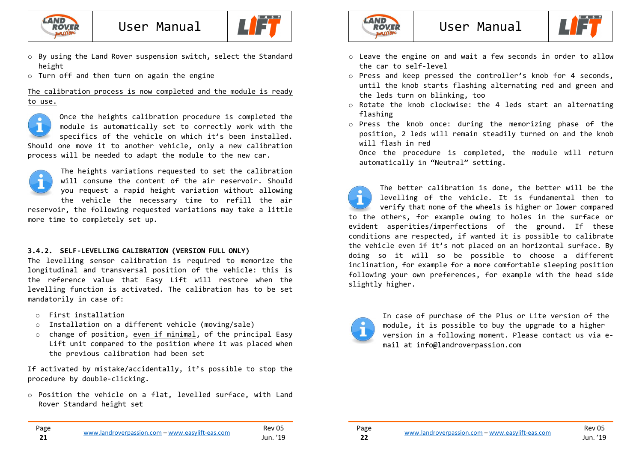

User Manual



- o By using the Land Rover suspension switch, select the Standard height
- $\circ$  Turn off and then turn on again the engine

#### The calibration process is now completed and the module is ready to use.

Once the heights calibration procedure is completed the module is automatically set to correctly work with the specifics of the vehicle on which it's been installed. Should one move it to another vehicle, only a new calibration process will be needed to adapt the module to the new car.



Page **21**

The heights variations requested to set the calibration will consume the content of the air reservoir. Should you request a rapid height variation without allowing the vehicle the necessary time to refill the air

 reservoir, the following requested variations may take a little more time to completely set up.

### **3.4.2. SELF-LEVELLING CALIBRATION (VERSION FULL ONLY)**

The levelling sensor calibration is required to memorize the longitudinal and transversal position of the vehicle: this is the reference value that Easy Lift will restore when the levelling function is activated. The calibration has to be set mandatorily in case of:

- o First installation
- o Installation on a different vehicle (moving/sale)
- o change of position, even if minimal, of the principal Easy Lift unit compared to the position where it was placed when the previous calibration had been set

If activated by mistake/accidentally, it's possible to stop the procedure by double-clicking.

o Position the vehicle on a flat, levelled surface, with Land Rover Standard height set



### User Manual



- o Leave the engine on and wait a few seconds in order to allow the car to self-level
- $\circ$  Press and keep pressed the controller's knob for 4 seconds, until the knob starts flashing alternating red and green and the leds turn on blinking, too
- o Rotate the knob clockwise: the 4 leds start an alternating flashing
- o Press the knob once: during the memorizing phase of the position, 2 leds will remain steadily turned on and the knob will flash in red

 Once the procedure is completed, the module will return automatically in "Neutral" setting.

The better calibration is done, the better will be the levelling of the vehicle. It is fundamental then to verify that none of the wheels is higher or lower compared to the others, for example owing to holes in the surface or evident asperities/imperfections of the ground. If these conditions are respected, if wanted it is possible to calibrate the vehicle even if it's not placed on an horizontal surface. By doing so it will so be possible to choose a different inclination, for example for a more comfortable sleeping position following your own preferences, for example with the head side slightly higher.



Page **22**

In case of purchase of the Plus or Lite version of the module, it is possible to buy the upgrade to a higher version in a following moment. Please contact us via email at info@landroverpassion.com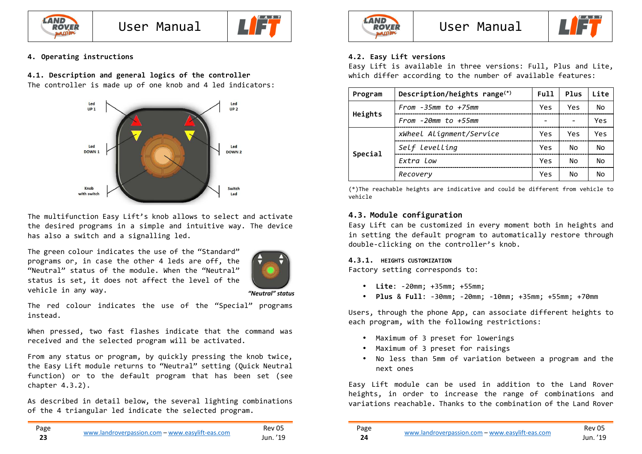

User Manual



### **4. Operating instructions**

### **4.1. Description and general logics of the controller**

The controller is made up of one knob and 4 led indicators:



The multifunction Easy Lift's knob allows to select and activate the desired programs in a simple and intuitive way. The device has also a switch and a signalling led.

The green colour indicates the use of the "Standard" programs or, in case the other 4 leds are off, the "Neutral" status of the module. When the "Neutral" status is set, it does not affect the level of the vehicle in any way.



 *"Neutral" status*

The red colour indicates the use of the "Special" programs instead.

When pressed, two fast flashes indicate that the command was received and the selected program will be activated.

From any status or program, by quickly pressing the knob twice, the Easy Lift module returns to "Neutral" setting (Quick Neutral function) or to the default program that has been set (see chapter 4.3.2).

As described in detail below, the several lighting combinations of the 4 triangular led indicate the selected program.



### User Manual



### **4.2. Easy Lift versions**

Easy Lift is available in three versions: Full, Plus and Lite, which differ according to the number of available features:

| Program | Description/heights range <sup>(*)</sup> | Full | Plus | Lite |
|---------|------------------------------------------|------|------|------|
|         | $From -35mm to +75mm$                    |      | Yes  | No   |
| Heights | From $-2\theta$ mm to $+55$ mm           | ۰    |      | Yes  |
|         | xWheel Alignment/Service                 |      | Yes  | Yes  |
|         | Self levelling                           | Yes  | No   | No   |
| Special | Extra Low                                | Yes  | No   | No   |
|         | Recovery                                 | Yes  | No   | No   |

(\*)The reachable heights are indicative and could be different from vehicle to vehicle

### **4.3. Module configuration**

Easy Lift can be customized in every moment both in heights and in setting the default program to automatically restore through double-clicking on the controller's knob.

### **4.3.1. HEIGHTS CUSTOMIZATION**

Factory setting corresponds to:

- **Lite**: -20mm; +35mm; +55mm;
- **Plus** & **Full**: -30mm; -20mm; -10mm; +35mm; +55mm; +70mm

Users, through the phone App, can associate different heights to each program, with the following restrictions:

- Maximum of 3 preset for lowerings
- •Maximum of 3 preset for raisings
- No less than 5mm of variation between a program and the next ones

Easy Lift module can be used in addition to the Land Rover heights, in order to increase the range of combinations and variations reachable. Thanks to the combination of the Land Rover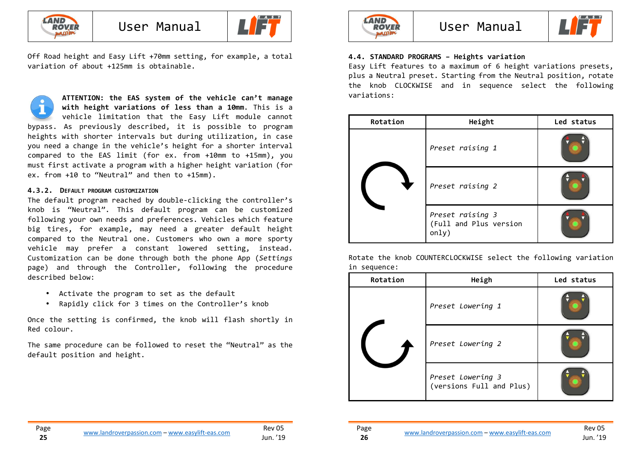

Page **25**



Off Road height and Easy Lift +70mm setting, for example, a total variation of about +125mm is obtainable.

**ATTENTION: the EAS system of the vehicle can't manage with height variations of less than a 10mm**. This is a vehicle limitation that the Easy Lift module cannot bypass. As previously described, it is possible to program heights with shorter intervals but during utilization, in case you need a change in the vehicle's height for a shorter interval compared to the EAS limit (for ex. from +10mm to +15mm), you must first activate a program with a higher height variation (for ex. from +10 to "Neutral" and then to +15mm).

### **4.3.2. <sup>D</sup>EFAULT PROGRAM CUSTOMIZATION**

The default program reached by double-clicking the controller's knob is "Neutral". This default program can be customized following your own needs and preferences. Vehicles which feature big tires, for example, may need a greater default height compared to the Neutral one. Customers who own a more sporty vehicle may prefer a constant lowered setting, instead. Customization can be done through both the phone App (*Settings* page) and through the Controller, following the procedure described below:

- Activate the program to set as the default
- Rapidly click for 3 times on the Controller's knob

Once the setting is confirmed, the knob will flash shortly in Red colour.

The same procedure can be followed to reset the "Neutral" as the default position and height.



### User Manual



### **4.4. STANDARD PROGRAMS – Heights variation**

Easy Lift features to a maximum of 6 height variations presets, plus a Neutral preset. Starting from the Neutral position, rotate the knob CLOCKWISE and in sequence select the following variations:

| Rotation | Height                                              | Led status |
|----------|-----------------------------------------------------|------------|
|          | Preset raising 1                                    |            |
|          | Preset raising 2                                    |            |
|          | Preset raising 3<br>(Full and Plus version<br>only) |            |

Rotate the knob COUNTERCLOCKWISE select the following variation in sequence:

| Rotation | Heigh                                         | Led status |
|----------|-----------------------------------------------|------------|
|          | Preset Lowering 1                             |            |
|          | Preset Lowering 2                             |            |
|          | Preset Lowering 3<br>(versions Full and Plus) |            |

Page **26**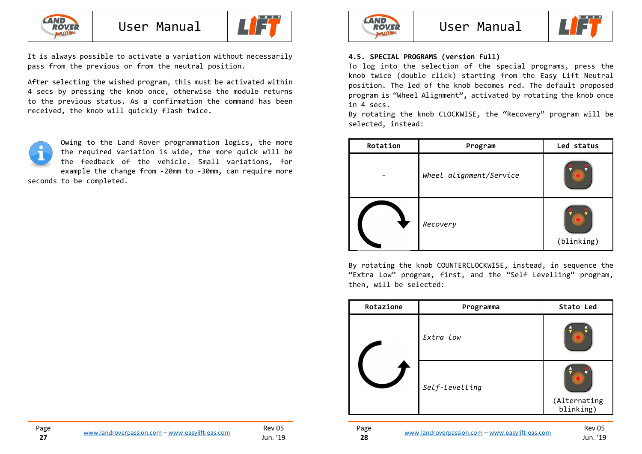



It is always possible to activate a variation without necessarily pass from the previous or from the neutral position.

After selecting the wished program, this must be activated within 4 secs by pressing the knob once, otherwise the module returns to the previous status. As a confirmation the command has been received, the knob will quickly flash twice.

Owing to the Land Rover programmation logics, the more the required variation is wide, the more quick will be the feedback of the vehicle. Small variations, for example the change from -20mm to -30mm, can require more seconds to be completed.



### User Manual



### **4.5. SPECIAL PROGRAMS (version Full)**

To log into the selection of the special programs, press the knob twice (double click) starting from the Easy Lift Neutral position. The led of the knob becomes red. The default proposed program is "Wheel Alignment", activated by rotating the knob once in 4 secs.

 By rotating the knob CLOCKWISE, the "Recovery" program will be selected, instead:

| Rotation | Program                 | Led status |
|----------|-------------------------|------------|
|          | Wheel alignment/Service |            |
|          | Recovery                | (blinking) |

By rotating the knob COUNTERCLOCKWISE, instead, in sequence the "Extra Low" program, first, and the "Self Levelling" program, then, will be selected:

| Extra Low<br>Self-Levelling<br>(Alternating<br>blinking) | Rotazione | Programma | Stato Led |
|----------------------------------------------------------|-----------|-----------|-----------|
|                                                          |           |           |           |
|                                                          |           |           |           |
|                                                          |           |           |           |

Page **28**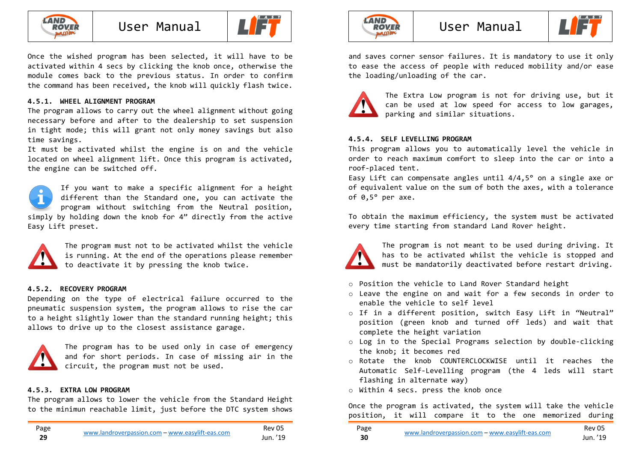



Once the wished program has been selected, it will have to be activated within 4 secs by clicking the knob once, otherwise the module comes back to the previous status. In order to confirm the command has been received, the knob will quickly flash twice.

### **4.5.1. WHEEL ALIGNMENT PROGRAM**

The program allows to carry out the wheel alignment without going necessary before and after to the dealership to set suspension in tight mode; this will grant not only money savings but also time savings.

 It must be activated whilst the engine is on and the vehicle located on wheel alignment lift. Once this program is activated, the engine can be switched off.

If you want to make a specific alignment for a height different than the Standard one, you can activate the program without switching from the Neutral position, simply by holding down the knob for 4" directly from the active Easy Lift preset.



The program must not to be activated whilst the vehicle is running. At the end of the operations please remember to deactivate it by pressing the knob twice.

### **4.5.2. RECOVERY PROGRAM**

Depending on the type of electrical failure occurred to the pneumatic suspension system, the program allows to rise the car to a height slightly lower than the standard running height; this allows to drive up to the closest assistance garage.



The program has to be used only in case of emergency and for short periods. In case of missing air in the circuit, the program must not be used.

### **4.5.3. EXTRA LOW PROGRAM**

The program allows to lower the vehicle from the Standard Height to the minimun reachable limit, just before the DTC system shows



### User Manual



and saves corner sensor failures. It is mandatory to use it only to ease the access of people with reduced mobility and/or ease the loading/unloading of the car.



The Extra Low program is not for driving use, but it can be used at low speed for access to low garages,parking and similar situations.

### **4.5.4. SELF LEVELLING PROGRAM**

This program allows you to automatically level the vehicle in order to reach maximum comfort to sleep into the car or into a roof-placed tent.

 Easy Lift can compensate angles until 4/4,5° on a single axe or of equivalent value on the sum of both the axes, with a tolerance of 0,5° per axe.

To obtain the maximum efficiency, the system must be activated every time starting from standard Land Rover height.



The program is not meant to be used during driving. It has to be activated whilst the vehicle is stopped and must be mandatorily deactivated before restart driving.

- o Position the vehicle to Land Rover Standard height
- o Leave the engine on and wait for a few seconds in order to enable the vehicle to self level
- o If in a different position, switch Easy Lift in "Neutral" position (green knob and turned off leds) and wait that complete the height variation
- o Log in to the Special Programs selection by double-clicking the knob; it becomes red
- o Rotate the knob COUNTERCLOCKWISE until it reaches the Automatic Self-Levelling program (the 4 leds will start flashing in alternate way)
- o Within 4 secs. press the knob once

Once the program is activated, the system will take the vehicle position, it will compare it to the one memorized during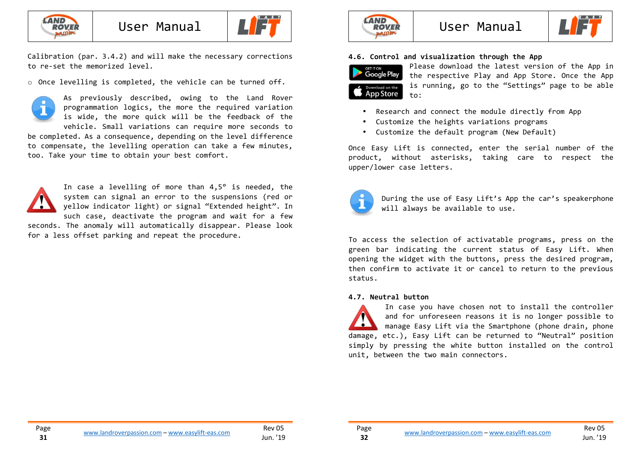



Calibration (par. 3.4.2) and will make the necessary corrections to re-set the memorized level.

 $\circ$  Once levelling is completed, the vehicle can be turned off.



 programmation logics, the more the required variation is wide, the more quick will be the feedback of the vehicle. Small variations can require more seconds to be completed. As a consequence, depending on the level difference to compensate, the levelling operation can take a few minutes, too. Take your time to obtain your best comfort.

As previously described, owing to the Land Rover



for a less offset parking and repeat the procedure.





### **4.6. Control and visualization through the App**



Please download the latest version of the App in the respective Play and App Store. Once the App is running, go to the "Settings" page to be able to:

- Research and connect the module directly from App
- Customize the heights variations programs
- Customize the default program (New Default)

Once Easy Lift is connected, enter the serial number of the product, without asterisks, taking care to respect the upper/lower case letters.



Page **32**

During the use of Easy Lift's App the car's speakerphone will always be available to use.

To access the selection of activatable programs, press on the green bar indicating the current status of Easy Lift. When opening the widget with the buttons, press the desired program, then confirm to activate it or cancel to return to the previous status.

### **4.7. Neutral button**

In case you have chosen not to install the controller and for unforeseen reasons it is no longer possible to manage Easy Lift via the Smartphone (phone drain, phone damage, etc.), Easy Lift can be returned to "Neutral" position simply by pressing the white button installed on the control unit, between the two main connectors.